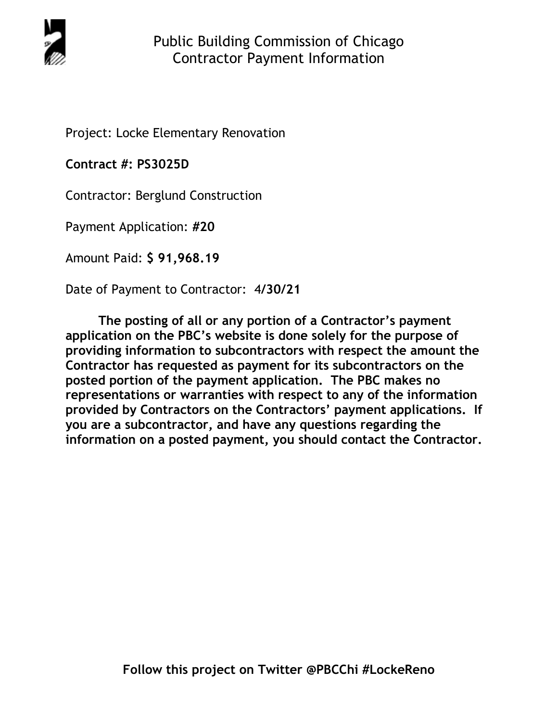

Project: Locke Elementary Renovation

**Contract #: PS3025D**

Contractor: Berglund Construction

Payment Application: **#20** 

Amount Paid: **\$ 91,968.19** 

Date of Payment to Contractor: 4**/30/21** 

**The posting of all or any portion of a Contractor's payment application on the PBC's website is done solely for the purpose of providing information to subcontractors with respect the amount the Contractor has requested as payment for its subcontractors on the posted portion of the payment application. The PBC makes no representations or warranties with respect to any of the information provided by Contractors on the Contractors' payment applications. If you are a subcontractor, and have any questions regarding the information on a posted payment, you should contact the Contractor.**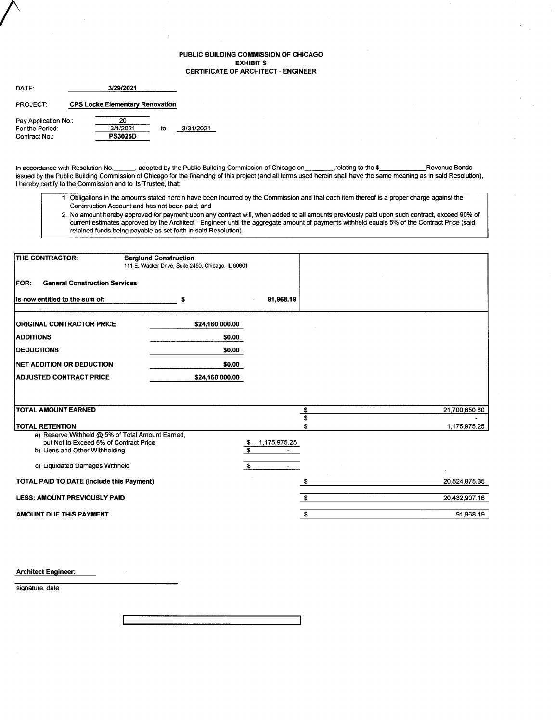#### PUBLIC BUILDING COMMISSION OF CHICAGO EXHIBIT S CERTIFICATE OF ARCHITECT. ENGINEER

| DATF:                |  | 3/29/2021                              |    |           |
|----------------------|--|----------------------------------------|----|-----------|
| PROJECT:             |  | <b>CPS Locke Elementary Renovation</b> |    |           |
| Pay Application No.: |  | 20                                     |    |           |
| For the Period:      |  | 3/1/2021                               | to | 3/31/2021 |
| Contract No.:        |  | <b>PS3025D</b>                         |    |           |

In accordance with Resolution No. \_\_\_\_\_, adopted by the Public Building Commission of Chicago on commission of Chicagoon change in the \$ issued by the Public Building Commission of Chicago for the financing of this project (and all terms used herein shall have the same meaning as in said Resolution), I hereby certify to the Commission and to its Trustee, that:

- 1. Obligations in the amounts stated herein have been incurred by the Commission and that each item thereof is a proper charge against the Construction Account and has not been paid; and
- 2, No amount hereby approved for payment upon any contract will, when added to all amounts previously paid upon such contract, exceed 90% of current estimates approved by the Architect - Engineer until the aggregate amount of payments withheld equals 5% of the Contract Price (said retained funds being payable as set forth in said Resolution).

| THE CONTRACTOR:                                                          | <b>Berglund Construction</b><br>111 E. Wacker Drive, Suite 2450, Chicago, IL 60601 |                                                      |               |
|--------------------------------------------------------------------------|------------------------------------------------------------------------------------|------------------------------------------------------|---------------|
| <b>General Construction Services</b><br><b>FOR:</b>                      |                                                                                    |                                                      |               |
| Is now entitled to the sum of:                                           | s                                                                                  | 91,968.19                                            |               |
| <b>ORIGINAL CONTRACTOR PRICE</b>                                         | \$24,160,000.00                                                                    |                                                      |               |
| <b>ADDITIONS</b>                                                         | \$0.00                                                                             |                                                      |               |
| <b>DEDUCTIONS</b>                                                        | \$0.00                                                                             |                                                      |               |
| <b>NET ADDITION OR DEDUCTION</b>                                         | \$0.00                                                                             |                                                      |               |
| <b>ADJUSTED CONTRACT PRICE</b>                                           | \$24,160,000.00                                                                    |                                                      |               |
|                                                                          |                                                                                    |                                                      |               |
| <b>TOTAL AMOUNT EARNED</b>                                               |                                                                                    | \$                                                   | 21,700,850.60 |
|                                                                          |                                                                                    | \$                                                   |               |
| <b>TOTAL RETENTION</b>                                                   |                                                                                    |                                                      | 1,175,975.25  |
| a) Reserve Withheld @ 5% of Total Amount Earned,                         |                                                                                    |                                                      |               |
| but Not to Exceed 5% of Contract Price<br>b) Liens and Other Withholding |                                                                                    | 1,175,975.25<br><u>್ತ</u><br>$\overline{\mathbf{s}}$ |               |
|                                                                          |                                                                                    |                                                      |               |
| c) Liquidated Damages Withheld                                           |                                                                                    | \$                                                   |               |
| TOTAL PAID TO DATE (Include this Payment)                                |                                                                                    |                                                      | 20,524,875.35 |
| <b>LESS: AMOUNT PREVIOUSLY PAID</b>                                      |                                                                                    | \$                                                   | 20,432,907.16 |
| AMOUNT DUE THIS PAYMENT                                                  |                                                                                    | \$                                                   | 91.968.19     |

Architect Engineer:

signature, date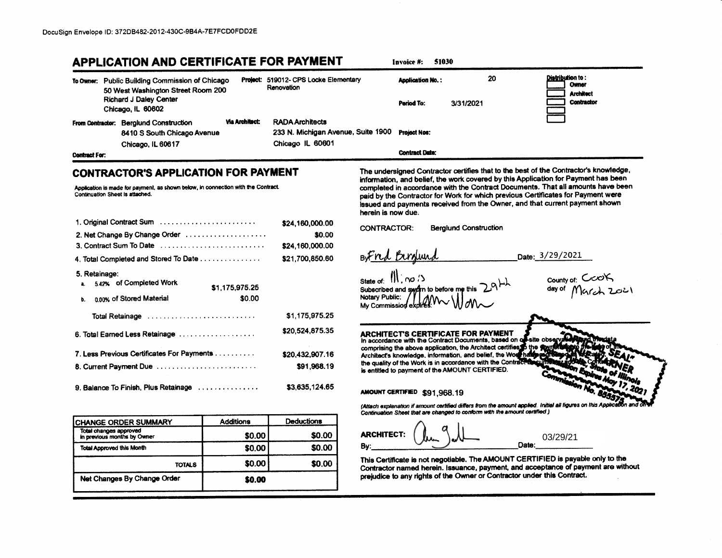# **APPLICATION AND CERTIFICATE FOR PAYMENT**

20 Distribution to: Project: 519012- CPS Locke Elementary **Anolication No.:** To Owner: Public Building Commission of Chicago Owner Renovation 50 West Washington Street Room 200 **Architect Richard J Daley Center Contractor** Period To: 3/31/2021 Chicago, IL 60602 **Via Architect: RADA Architects** From Contractor: Berglund Construction 233 N. Michigan Avenue, Suite 1900 8410 S South Chicago Avenue **Project Nos:** Chicago IL 60601 Chicago, IL 60617 **Contract Date: Contract For:** 

## **CONTRACTOR'S APPLICATION FOR PAYMENT**

Application is made for payment, as shown below, in connection with the Contract. Continuation Sheet is attached.

| 1. Original Contract Sum                                         | \$24,160,000.00 |
|------------------------------------------------------------------|-----------------|
| 2. Net Change By Change Order                                    | \$0.00          |
| 3. Contract Sum To Date                                          | \$24,160,000.00 |
| 4. Total Completed and Stored To Date                            | \$21,700,850.60 |
| 5. Retainage:<br>5.42% of Completed Work<br>â.<br>\$1,175,975.25 |                 |
| \$0.00<br>0.00% of Stored Material<br>ь.                         |                 |
| Total Retainage                                                  | \$1,175,975.25  |
| 6. Total Earned Less Retainage                                   | \$20,524,875.35 |
| 7. Less Previous Certificates For Payments                       | \$20,432,907.16 |
| 8. Current Payment Due                                           | \$91.968.19     |
| 9. Balance To Finish, Plus Retainage                             | \$3.635.124.65  |

| CHANGE ORDER SUMMARY                                  | <b>Additions</b> | <b>Deductions</b> |  |  |  |
|-------------------------------------------------------|------------------|-------------------|--|--|--|
| Total changes approved<br>in previous months by Owner | \$0.00           | \$0.00            |  |  |  |
| <b>Total Approved this Month</b>                      | \$0.00           | \$0.00            |  |  |  |
| TOTALS                                                | \$0.00           | \$0.00            |  |  |  |
| Net Changes By Change Order                           | \$0.00           |                   |  |  |  |

The undersigned Contractor certifies that to the best of the Contractor's knowledge, information, and belief, the work covered by this Application for Payment has been completed in accordance with the Contract Documents. That all amounts have been paid by the Contractor for Work for which previous Certificates for Payment were issued and payments received from the Owner, and that current payment shown herein is now due.

**CONTRACTOR: Berglund Construction** 

BoFred Birdund state of: 11, no /3

Invoice #:

51030

Date: 3/29/2021

Subscribed and sworn to before me this **Notary Public:** My Commission exi

county of: COOK<br>day of March ZOLI

**ARCHITECT'S CERTIFICATE FOR PAYMENT** In accordance with the Contract Documents, based on o comprising the above application, the Architect certifies Architect's knowledge, information, and belief, the Word the quality of the Work is in accordance with the Contract is entitled to payment of the AMOUNT CERTIFIED.

AMOUNT CERTIFIED \$91,968.19

(Attach explanation if amount certified differs from the amount applied. Initial all figures on this Application and Continuation Sheet that are changed to conform with the amount certified )

**ARCHITECT:** 03/29/21 Date: By:

This Certificate is not negotiable. The AMOUNT CERTIFIED is payable only to the Contractor named herein. Issuance, payment, and acceptance of payment are without prejudice to any rights of the Owner or Contractor under this Contract.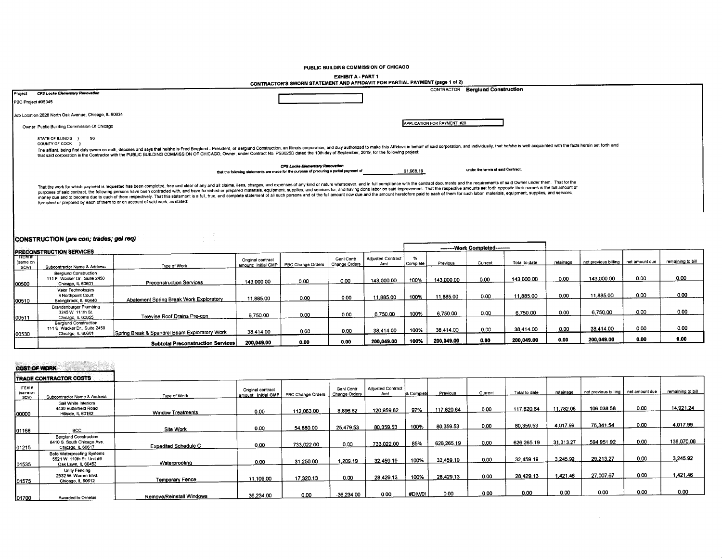PUBLIC BUILDING COMMISSION OF CHICAGO

EXHIBIT A - PART 1

|                     | CONTRACTOR'S SWORN STATEMENT AND AFFIDAVIT FOR PARTIAL PAYMENT (page 1 of 2) |                                                                                                                                                                                                                                                                                                                                                                                                                              |                                         |                                                                                                                             |                             |                                 |               |                             |                                   |               |           |                                       |      |                   |
|---------------------|------------------------------------------------------------------------------|------------------------------------------------------------------------------------------------------------------------------------------------------------------------------------------------------------------------------------------------------------------------------------------------------------------------------------------------------------------------------------------------------------------------------|-----------------------------------------|-----------------------------------------------------------------------------------------------------------------------------|-----------------------------|---------------------------------|---------------|-----------------------------|-----------------------------------|---------------|-----------|---------------------------------------|------|-------------------|
| Project             | <b>CPS Locke Elementary Revovation</b>                                       |                                                                                                                                                                                                                                                                                                                                                                                                                              |                                         |                                                                                                                             |                             |                                 |               |                             | CONTRACTOR Berglund Construction  |               |           |                                       |      |                   |
| PBC Project #05345  |                                                                              |                                                                                                                                                                                                                                                                                                                                                                                                                              |                                         |                                                                                                                             |                             |                                 |               |                             |                                   |               |           |                                       |      |                   |
|                     |                                                                              |                                                                                                                                                                                                                                                                                                                                                                                                                              |                                         |                                                                                                                             |                             |                                 |               |                             |                                   |               |           |                                       |      |                   |
|                     | Job Location 2828 North Oak Avenue, Chicago, IL 60634                        |                                                                                                                                                                                                                                                                                                                                                                                                                              |                                         |                                                                                                                             |                             |                                 |               |                             |                                   |               |           |                                       |      |                   |
|                     | Owner Public Building Commission Of Chicago                                  |                                                                                                                                                                                                                                                                                                                                                                                                                              |                                         |                                                                                                                             |                             |                                 |               | APPLICATION FOR PAYMENT #20 |                                   |               |           |                                       |      |                   |
|                     |                                                                              |                                                                                                                                                                                                                                                                                                                                                                                                                              |                                         |                                                                                                                             |                             |                                 |               |                             |                                   |               |           |                                       |      |                   |
|                     | STATE OF ILLINOIS }<br>SS<br>COUNTY OF COOK }                                |                                                                                                                                                                                                                                                                                                                                                                                                                              |                                         |                                                                                                                             |                             |                                 |               |                             |                                   |               |           |                                       |      |                   |
|                     |                                                                              | The affiant, being first duly swom on oath, deposes and says that he/she is Fred Berglund - President, of Berglund Construction, an Illinois corporation, and duly authorized to make this Affidavit in behalf of said corpora<br>that said corporation is the Contractor with the PUBLIC BUILDING COMMISSION OF CHICAGO, Owner, under Contract No. PS3025D dated the 10th day of September, 2019, for the following project |                                         |                                                                                                                             |                             |                                 |               |                             |                                   |               |           |                                       |      |                   |
|                     |                                                                              |                                                                                                                                                                                                                                                                                                                                                                                                                              |                                         |                                                                                                                             |                             |                                 |               |                             |                                   |               |           |                                       |      |                   |
|                     |                                                                              |                                                                                                                                                                                                                                                                                                                                                                                                                              |                                         | CPS Locke Elementary Renovation<br>that the following statements are made for the purpose of procuring a partial payment of |                             |                                 | 91,968.19     |                             | under the terms of said Contract; |               |           |                                       |      |                   |
|                     |                                                                              | money due and to become due to each of them respectively. That this statement is a full, true, and complete statement of all such persons and of the full amount now due and the amount heretofore paid to each of them for su<br>furnished or prepared by each of them to or on account of said work, as stated:                                                                                                            |                                         |                                                                                                                             |                             |                                 |               |                             |                                   |               |           |                                       |      |                   |
|                     | CONSTRUCTION (pre con; trades; gel req)                                      |                                                                                                                                                                                                                                                                                                                                                                                                                              |                                         |                                                                                                                             |                             |                                 |               |                             | --------Work Completed-------     |               |           |                                       |      |                   |
| TEMF                | <b>PRECONSTRUCTION SERVICES</b>                                              |                                                                                                                                                                                                                                                                                                                                                                                                                              |                                         |                                                                                                                             |                             |                                 |               |                             |                                   |               |           |                                       |      |                   |
| (same on            |                                                                              |                                                                                                                                                                                                                                                                                                                                                                                                                              | Onginal contract<br>amount: initial GMP | PBC Change Orders                                                                                                           | Genl Contr<br>Change Orders | <b>Adjusted Contract</b><br>Amt | %<br>Complete | Previous                    | Current                           | Total to date | retainage | net previous billing   net amount due |      | remaining to bill |
| SOV)                | Subcontractor Name & Address<br><b>Berglund Construction</b>                 | Type of Work                                                                                                                                                                                                                                                                                                                                                                                                                 |                                         |                                                                                                                             |                             |                                 |               |                             |                                   |               |           |                                       |      |                   |
|                     | 111 E. Wacker Dr., Suite 2450                                                |                                                                                                                                                                                                                                                                                                                                                                                                                              | 143.000.00                              | 0.00                                                                                                                        | 0.00                        | 143,000.00                      | 100%          | 143,000.00                  | 0.00                              | 143.000.00    | 0.00      | 143,000.00                            | 0.00 | 0.00              |
| 00500               | Chicago, IL 60601<br>Valor Technologies                                      | <b>Preconstruction Services</b>                                                                                                                                                                                                                                                                                                                                                                                              |                                         |                                                                                                                             |                             |                                 |               |                             |                                   |               |           |                                       |      |                   |
|                     | 3 Northpoint Court                                                           |                                                                                                                                                                                                                                                                                                                                                                                                                              | 11,885.00                               | 0.00                                                                                                                        | 0.00                        | 11.885.00                       | 100%          | 11.885.00                   | 0.00                              | 11,885.00     | 0.00      | 11,885.00                             | 0.00 | 0.00              |
| 100510              | Bolingbrook, It. 60440                                                       | Abatement Spring Break Work Exploratory                                                                                                                                                                                                                                                                                                                                                                                      |                                         |                                                                                                                             |                             |                                 |               |                             |                                   |               |           |                                       |      |                   |
|                     | Brandenburger Plumbing<br>3245 W. 111th St.                                  |                                                                                                                                                                                                                                                                                                                                                                                                                              |                                         | 0.00                                                                                                                        | 0.00                        | 6,750.00                        | 100%          | 6.750.00                    | 0.00                              | 6,750.00      | 0.00      | 6,750.00                              | 0.00 | 0.00              |
| 00511               | Chicago, IL 60655                                                            | Televise Roof Drains Pre-con                                                                                                                                                                                                                                                                                                                                                                                                 | 6.750.00                                |                                                                                                                             |                             |                                 |               |                             |                                   |               |           |                                       |      |                   |
|                     | <b>Berglund Construction</b><br>111 E. Wacker Dr., Suite 2450                |                                                                                                                                                                                                                                                                                                                                                                                                                              |                                         |                                                                                                                             |                             | 38,414.00                       | 100%          | 38 414.00                   | 0.00                              | 38.414.00     | 0.00      | 38.414.00                             | 0.00 | 0.00              |
| 00530               | Chicago, IL 60601                                                            | Soring Break & Spandrel Beam Exploratory Work                                                                                                                                                                                                                                                                                                                                                                                | 38.414.00                               | 0.00                                                                                                                        | 0.00                        |                                 |               |                             |                                   |               |           |                                       |      | 0.00              |
|                     |                                                                              | <b>Subtotal Preconstruction Services</b>                                                                                                                                                                                                                                                                                                                                                                                     | 200,049.00                              | 0.00                                                                                                                        | 0.00                        | 200,049.00                      | 100%          | 200,049.00                  | 0.00                              | 200.049.00    | 0.00      | 200,049.00                            | 0.00 |                   |
| <b>COST OF WORK</b> | <b>TRADE CONTRACTOR COSTS</b>                                                |                                                                                                                                                                                                                                                                                                                                                                                                                              |                                         |                                                                                                                             |                             |                                 |               |                             |                                   |               |           |                                       |      |                   |

| ITEM#<br>(same on<br>SOV) | Subcontractor Name & Address                                                 | Type of Work                | Original contract<br>amount: initial GMP I | PBC Change Orders | Genl Contr<br>Change Orders | Adjusted Contract<br>Amt | 1% Complete | Previous   | Current | Total to date | retainage | net previous billing   net amount due |      | remaining to bill |
|---------------------------|------------------------------------------------------------------------------|-----------------------------|--------------------------------------------|-------------------|-----------------------------|--------------------------|-------------|------------|---------|---------------|-----------|---------------------------------------|------|-------------------|
| 100000                    | Gail White Interiors<br>4430 Butterfield Road<br>Hillside, IL 60162          | <b>Window Treatments</b>    | 0.00                                       | 112.063.00        | 8,896.82                    | 120,959.82               | 97%         | 117,820.64 | 0.00    | 117,820.64    | 11,782.06 | 106,038.58                            | 0.00 | 14,921.24         |
|                           | <b>BCC</b>                                                                   | Site Work                   | 0.00                                       | 54,880.00         | 25,479.53                   | 80,359.53                | 100%        | 80,359.53  | 0.00    | 80,359.53     | 4,017.99  | 76.341.54                             | 0.00 | 4,017.99          |
| 01168                     | <b>Berglund Construction</b><br>8410 S. South Chicago Ave.                   | <b>Expedited Schedule C</b> | 0.00                                       | 733.022.00        | 0.00                        | 733,022.00               | 85%         | 626,265.19 | 0.00    | 626,265.19    | 31.313.27 | 594,951.92                            | 0.00 | 138,070.08        |
| 01215                     | Chicago, IL 60617<br>Bofo Waterproofing Systems<br>5521 W. 110th St. Unit #9 |                             | 0.00                                       | 31.250.00         | 1.209.19                    | 32,459.19                | 100%        | 32,459.19  | 0.00    | 32,459.19     | 3 245.92  | 29.213.27                             | 0.00 | 3,245.92          |
| 01535                     | Oak Lawn, IL 60453<br><b>Unity Fencing</b><br>2532 W. Warren Blvd.           | Waterproofing               | 11,109.00                                  | 17,320.13         | 0.00                        | 28,429.13                | 100%        | 28,429.13  | 0.00    | 28,429.13     | 1.421.46  | 27.007.67                             | 0.00 | 1,421.46          |
| 01575                     | Chicago, IL 60612                                                            | Temporary Fence             |                                            |                   |                             |                          | #DIV/0!     | 0.00       | 0.00    | 0.00          | 0.00      | 0.00                                  | 0.00 | 0.00              |
| 01700                     | Awarded to Ornelas                                                           | Remove/Reinstall Windows    | 36,234.00                                  | 0.00              | $-36,234.00$                | 0.00                     |             |            |         |               |           |                                       |      |                   |